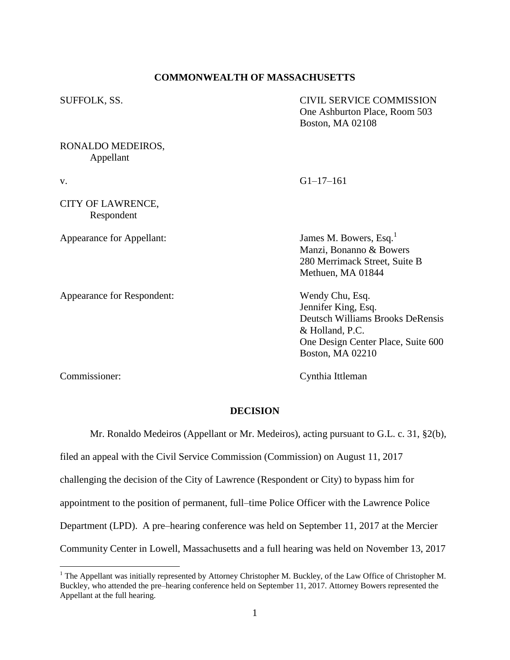### **COMMONWEALTH OF MASSACHUSETTS**

| SUFFOLK, SS.                    | <b>CIVIL SERVICE COMMISSION</b><br>One Ashburton Place, Room 503<br><b>Boston, MA 02108</b>                                                             |
|---------------------------------|---------------------------------------------------------------------------------------------------------------------------------------------------------|
| RONALDO MEDEIROS,<br>Appellant  |                                                                                                                                                         |
| V.                              | $G1-17-161$                                                                                                                                             |
| CITY OF LAWRENCE,<br>Respondent |                                                                                                                                                         |
| Appearance for Appellant:       | James M. Bowers, Esq. <sup>1</sup><br>Manzi, Bonanno & Bowers<br>280 Merrimack Street, Suite B<br>Methuen, MA 01844                                     |
| Appearance for Respondent:      | Wendy Chu, Esq.<br>Jennifer King, Esq.<br>Deutsch Williams Brooks DeRensis<br>& Holland, P.C.<br>One Design Center Place, Suite 600<br>Boston, MA 02210 |

 $\overline{a}$ 

Commissioner: Cynthia Ittleman

#### **DECISION**

Mr. Ronaldo Medeiros (Appellant or Mr. Medeiros), acting pursuant to G.L. c. 31, §2(b),

filed an appeal with the Civil Service Commission (Commission) on August 11, 2017

challenging the decision of the City of Lawrence (Respondent or City) to bypass him for

appointment to the position of permanent, full–time Police Officer with the Lawrence Police

Department (LPD). A pre–hearing conference was held on September 11, 2017 at the Mercier

Community Center in Lowell, Massachusetts and a full hearing was held on November 13, 2017

<sup>&</sup>lt;sup>1</sup> The Appellant was initially represented by Attorney Christopher M. Buckley, of the Law Office of Christopher M. Buckley, who attended the pre–hearing conference held on September 11, 2017. Attorney Bowers represented the Appellant at the full hearing.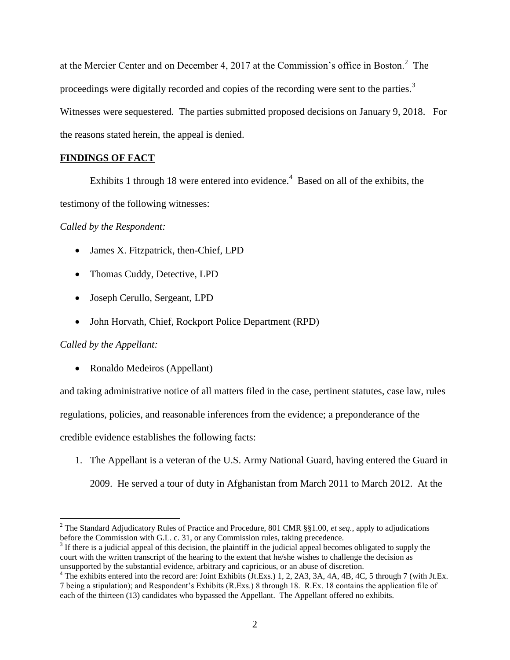at the Mercier Center and on December 4, 2017 at the Commission's office in Boston.<sup>2</sup> The proceedings were digitally recorded and copies of the recording were sent to the parties.<sup>3</sup> Witnesses were sequestered. The parties submitted proposed decisions on January 9, 2018. For the reasons stated herein, the appeal is denied.

# **FINDINGS OF FACT**

Exhibits 1 through 18 were entered into evidence.<sup>4</sup> Based on all of the exhibits, the testimony of the following witnesses:

*Called by the Respondent:* 

- James X. Fitzpatrick, then-Chief, LPD
- Thomas Cuddy, Detective, LPD
- Joseph Cerullo, Sergeant, LPD
- John Horvath, Chief, Rockport Police Department (RPD)

# *Called by the Appellant:*

 $\overline{a}$ 

• Ronaldo Medeiros (Appellant)

and taking administrative notice of all matters filed in the case, pertinent statutes, case law, rules

regulations, policies, and reasonable inferences from the evidence; a preponderance of the

credible evidence establishes the following facts:

1. The Appellant is a veteran of the U.S. Army National Guard, having entered the Guard in 2009. He served a tour of duty in Afghanistan from March 2011 to March 2012. At the

<sup>2</sup> The Standard Adjudicatory Rules of Practice and Procedure, 801 CMR §§1.00, *et seq.*, apply to adjudications before the Commission with G.L. c. 31, or any Commission rules, taking precedence.

 $3$  If there is a judicial appeal of this decision, the plaintiff in the judicial appeal becomes obligated to supply the court with the written transcript of the hearing to the extent that he/she wishes to challenge the decision as unsupported by the substantial evidence, arbitrary and capricious, or an abuse of discretion.

<sup>&</sup>lt;sup>4</sup> The exhibits entered into the record are: Joint Exhibits (Jt.Exs.) 1, 2, 2A3, 3A, 4A, 4B, 4C, 5 through 7 (with Jt.Ex. 7 being a stipulation); and Respondent's Exhibits (R.Exs.) 8 through 18. R.Ex. 18 contains the application file of each of the thirteen (13) candidates who bypassed the Appellant. The Appellant offered no exhibits.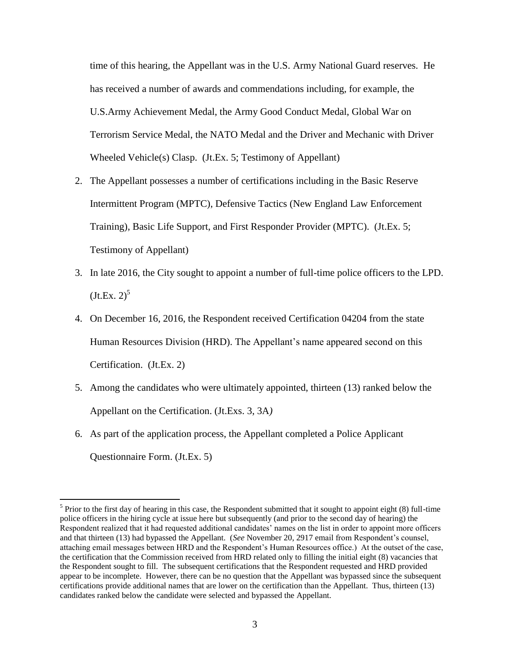time of this hearing, the Appellant was in the U.S. Army National Guard reserves. He has received a number of awards and commendations including, for example, the U.S.Army Achievement Medal, the Army Good Conduct Medal, Global War on Terrorism Service Medal, the NATO Medal and the Driver and Mechanic with Driver Wheeled Vehicle(s) Clasp. (Jt.Ex. 5; Testimony of Appellant)

- 2. The Appellant possesses a number of certifications including in the Basic Reserve Intermittent Program (MPTC), Defensive Tactics (New England Law Enforcement Training), Basic Life Support, and First Responder Provider (MPTC). (Jt.Ex. 5; Testimony of Appellant)
- 3. In late 2016, the City sought to appoint a number of full-time police officers to the LPD.  $(Jt.Ex. 2)^5$
- 4. On December 16, 2016, the Respondent received Certification 04204 from the state Human Resources Division (HRD). The Appellant's name appeared second on this Certification. (Jt.Ex. 2)
- 5. Among the candidates who were ultimately appointed, thirteen (13) ranked below the Appellant on the Certification. (Jt.Exs. 3, 3A*)*
- 6. As part of the application process, the Appellant completed a Police Applicant Questionnaire Form. (Jt.Ex. 5)

 $\overline{a}$ 

 $<sup>5</sup>$  Prior to the first day of hearing in this case, the Respondent submitted that it sought to appoint eight (8) full-time</sup> police officers in the hiring cycle at issue here but subsequently (and prior to the second day of hearing) the Respondent realized that it had requested additional candidates' names on the list in order to appoint more officers and that thirteen (13) had bypassed the Appellant. (*See* November 20, 2917 email from Respondent's counsel, attaching email messages between HRD and the Respondent's Human Resources office.) At the outset of the case, the certification that the Commission received from HRD related only to filling the initial eight (8) vacancies that the Respondent sought to fill. The subsequent certifications that the Respondent requested and HRD provided appear to be incomplete. However, there can be no question that the Appellant was bypassed since the subsequent certifications provide additional names that are lower on the certification than the Appellant. Thus, thirteen (13) candidates ranked below the candidate were selected and bypassed the Appellant.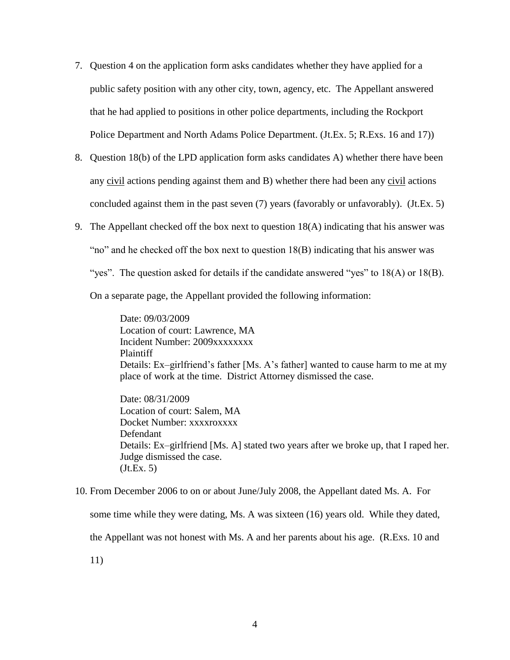- 7. Question 4 on the application form asks candidates whether they have applied for a public safety position with any other city, town, agency, etc. The Appellant answered that he had applied to positions in other police departments, including the Rockport Police Department and North Adams Police Department. (Jt.Ex. 5; R.Exs. 16 and 17))
- 8. Question 18(b) of the LPD application form asks candidates A) whether there have been any civil actions pending against them and B) whether there had been any civil actions concluded against them in the past seven (7) years (favorably or unfavorably). (Jt.Ex. 5)
- 9. The Appellant checked off the box next to question 18(A) indicating that his answer was

"no" and he checked off the box next to question  $18(B)$  indicating that his answer was

"yes". The question asked for details if the candidate answered "yes" to  $18(A)$  or  $18(B)$ .

On a separate page, the Appellant provided the following information:

Date: 09/03/2009 Location of court: Lawrence, MA Incident Number: 2009xxxxxxxx Plaintiff Details: Ex–girlfriend's father [Ms. A's father] wanted to cause harm to me at my place of work at the time. District Attorney dismissed the case.

Date: 08/31/2009 Location of court: Salem, MA Docket Number: xxxxroxxxx Defendant Details: Ex–girlfriend [Ms. A] stated two years after we broke up, that I raped her. Judge dismissed the case.  $(Jt.Ex. 5)$ 

10. From December 2006 to on or about June/July 2008, the Appellant dated Ms. A. For some time while they were dating, Ms. A was sixteen (16) years old. While they dated, the Appellant was not honest with Ms. A and her parents about his age. (R.Exs. 10 and

11)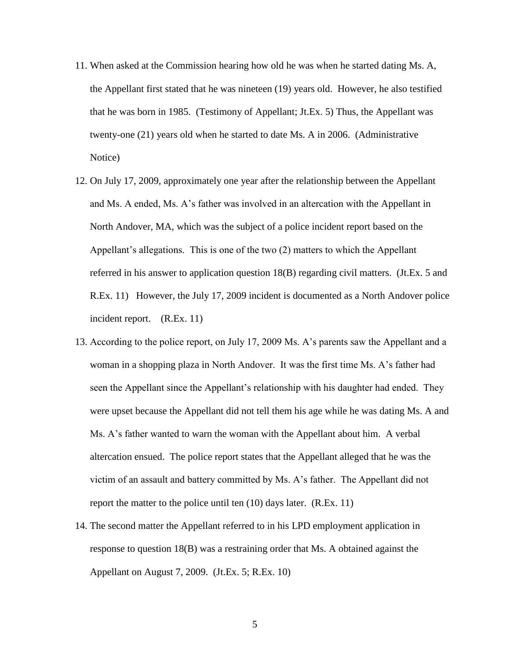- 11. When asked at the Commission hearing how old he was when he started dating Ms. A, the Appellant first stated that he was nineteen (19) years old. However, he also testified that he was born in 1985. (Testimony of Appellant; Jt.Ex. 5) Thus, the Appellant was twenty-one (21) years old when he started to date Ms. A in 2006. (Administrative Notice)
- 12. On July 17, 2009, approximately one year after the relationship between the Appellant and Ms. A ended, Ms. A's father was involved in an altercation with the Appellant in North Andover, MA, which was the subject of a police incident report based on the Appellant's allegations. This is one of the two (2) matters to which the Appellant referred in his answer to application question 18(B) regarding civil matters. (Jt.Ex. 5 and R.Ex. 11) However, the July 17, 2009 incident is documented as a North Andover police incident report. (R.Ex. 11)
- 13. According to the police report, on July 17, 2009 Ms. A's parents saw the Appellant and a woman in a shopping plaza in North Andover. It was the first time Ms. A's father had seen the Appellant since the Appellant's relationship with his daughter had ended. They were upset because the Appellant did not tell them his age while he was dating Ms. A and Ms. A's father wanted to warn the woman with the Appellant about him. A verbal altercation ensued. The police report states that the Appellant alleged that he was the victim of an assault and battery committed by Ms. A's father. The Appellant did not report the matter to the police until ten (10) days later. (R.Ex. 11)
- 14. The second matter the Appellant referred to in his LPD employment application in response to question 18(B) was a restraining order that Ms. A obtained against the Appellant on August 7, 2009. (Jt.Ex. 5; R.Ex. 10)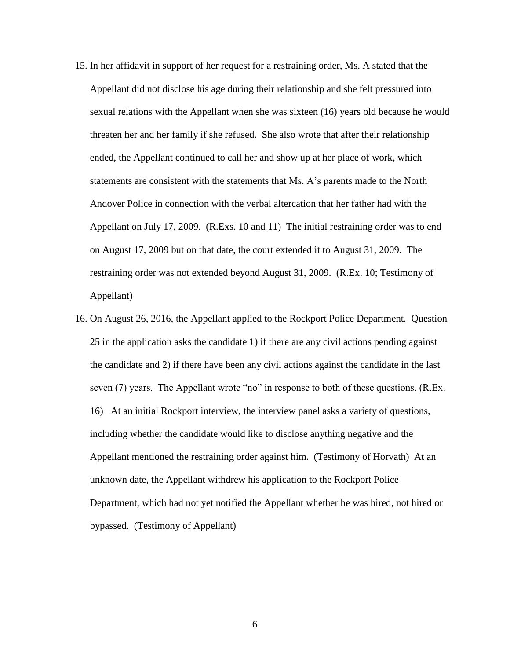- 15. In her affidavit in support of her request for a restraining order, Ms. A stated that the Appellant did not disclose his age during their relationship and she felt pressured into sexual relations with the Appellant when she was sixteen (16) years old because he would threaten her and her family if she refused. She also wrote that after their relationship ended, the Appellant continued to call her and show up at her place of work, which statements are consistent with the statements that Ms. A's parents made to the North Andover Police in connection with the verbal altercation that her father had with the Appellant on July 17, 2009. (R.Exs. 10 and 11) The initial restraining order was to end on August 17, 2009 but on that date, the court extended it to August 31, 2009. The restraining order was not extended beyond August 31, 2009. (R.Ex. 10; Testimony of Appellant)
- 16. On August 26, 2016, the Appellant applied to the Rockport Police Department. Question 25 in the application asks the candidate 1) if there are any civil actions pending against the candidate and 2) if there have been any civil actions against the candidate in the last seven (7) years. The Appellant wrote "no" in response to both of these questions. (R.Ex. 16) At an initial Rockport interview, the interview panel asks a variety of questions, including whether the candidate would like to disclose anything negative and the Appellant mentioned the restraining order against him. (Testimony of Horvath) At an unknown date, the Appellant withdrew his application to the Rockport Police Department, which had not yet notified the Appellant whether he was hired, not hired or bypassed. (Testimony of Appellant)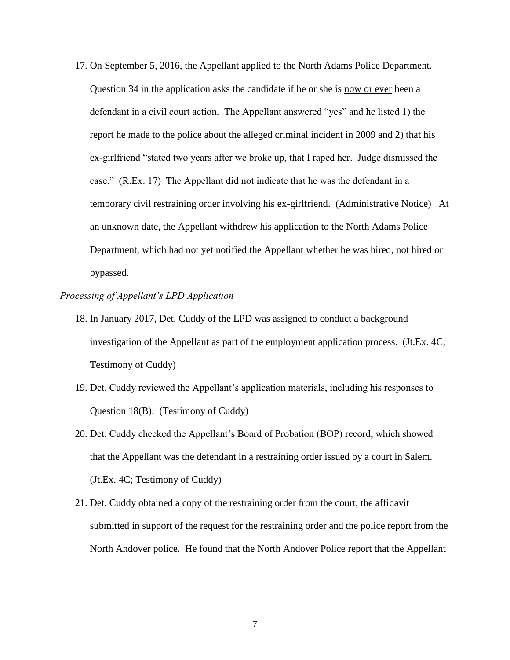17. On September 5, 2016, the Appellant applied to the North Adams Police Department. Question 34 in the application asks the candidate if he or she is now or ever been a defendant in a civil court action. The Appellant answered "yes" and he listed 1) the report he made to the police about the alleged criminal incident in 2009 and 2) that his ex-girlfriend "stated two years after we broke up, that I raped her. Judge dismissed the case." (R.Ex. 17) The Appellant did not indicate that he was the defendant in a temporary civil restraining order involving his ex-girlfriend. (Administrative Notice) At an unknown date, the Appellant withdrew his application to the North Adams Police Department, which had not yet notified the Appellant whether he was hired, not hired or bypassed.

### *Processing of Appellant's LPD Application*

- 18. In January 2017, Det. Cuddy of the LPD was assigned to conduct a background investigation of the Appellant as part of the employment application process. (Jt.Ex. 4C; Testimony of Cuddy)
- 19. Det. Cuddy reviewed the Appellant's application materials, including his responses to Question 18(B). (Testimony of Cuddy)
- 20. Det. Cuddy checked the Appellant's Board of Probation (BOP) record, which showed that the Appellant was the defendant in a restraining order issued by a court in Salem. (Jt.Ex. 4C; Testimony of Cuddy)
- 21. Det. Cuddy obtained a copy of the restraining order from the court, the affidavit submitted in support of the request for the restraining order and the police report from the North Andover police. He found that the North Andover Police report that the Appellant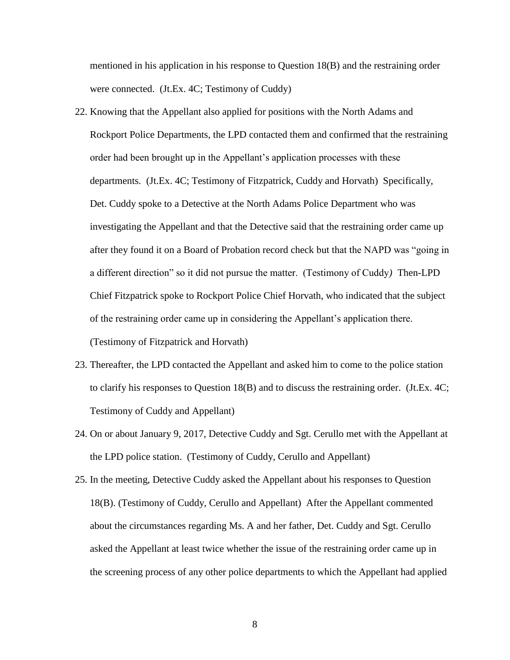mentioned in his application in his response to Question 18(B) and the restraining order were connected. (Jt.Ex. 4C; Testimony of Cuddy)

- 22. Knowing that the Appellant also applied for positions with the North Adams and Rockport Police Departments, the LPD contacted them and confirmed that the restraining order had been brought up in the Appellant's application processes with these departments. (Jt.Ex. 4C; Testimony of Fitzpatrick, Cuddy and Horvath) Specifically, Det. Cuddy spoke to a Detective at the North Adams Police Department who was investigating the Appellant and that the Detective said that the restraining order came up after they found it on a Board of Probation record check but that the NAPD was "going in a different direction" so it did not pursue the matter. (Testimony of Cuddy*)* Then-LPD Chief Fitzpatrick spoke to Rockport Police Chief Horvath, who indicated that the subject of the restraining order came up in considering the Appellant's application there. (Testimony of Fitzpatrick and Horvath)
- 23. Thereafter, the LPD contacted the Appellant and asked him to come to the police station to clarify his responses to Question 18(B) and to discuss the restraining order. (Jt.Ex. 4C; Testimony of Cuddy and Appellant)
- 24. On or about January 9, 2017, Detective Cuddy and Sgt. Cerullo met with the Appellant at the LPD police station. (Testimony of Cuddy, Cerullo and Appellant)
- 25. In the meeting, Detective Cuddy asked the Appellant about his responses to Question 18(B). (Testimony of Cuddy, Cerullo and Appellant) After the Appellant commented about the circumstances regarding Ms. A and her father, Det. Cuddy and Sgt. Cerullo asked the Appellant at least twice whether the issue of the restraining order came up in the screening process of any other police departments to which the Appellant had applied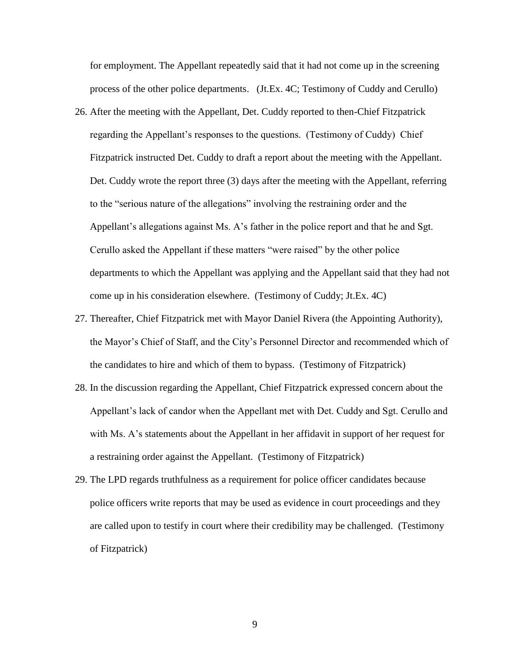for employment. The Appellant repeatedly said that it had not come up in the screening process of the other police departments. (Jt.Ex. 4C; Testimony of Cuddy and Cerullo)

- 26. After the meeting with the Appellant, Det. Cuddy reported to then-Chief Fitzpatrick regarding the Appellant's responses to the questions. (Testimony of Cuddy) Chief Fitzpatrick instructed Det. Cuddy to draft a report about the meeting with the Appellant. Det. Cuddy wrote the report three (3) days after the meeting with the Appellant, referring to the "serious nature of the allegations" involving the restraining order and the Appellant's allegations against Ms. A's father in the police report and that he and Sgt. Cerullo asked the Appellant if these matters "were raised" by the other police departments to which the Appellant was applying and the Appellant said that they had not come up in his consideration elsewhere. (Testimony of Cuddy; Jt.Ex. 4C)
- 27. Thereafter, Chief Fitzpatrick met with Mayor Daniel Rivera (the Appointing Authority), the Mayor's Chief of Staff, and the City's Personnel Director and recommended which of the candidates to hire and which of them to bypass. (Testimony of Fitzpatrick)
- 28. In the discussion regarding the Appellant, Chief Fitzpatrick expressed concern about the Appellant's lack of candor when the Appellant met with Det. Cuddy and Sgt. Cerullo and with Ms. A's statements about the Appellant in her affidavit in support of her request for a restraining order against the Appellant. (Testimony of Fitzpatrick)
- 29. The LPD regards truthfulness as a requirement for police officer candidates because police officers write reports that may be used as evidence in court proceedings and they are called upon to testify in court where their credibility may be challenged. (Testimony of Fitzpatrick)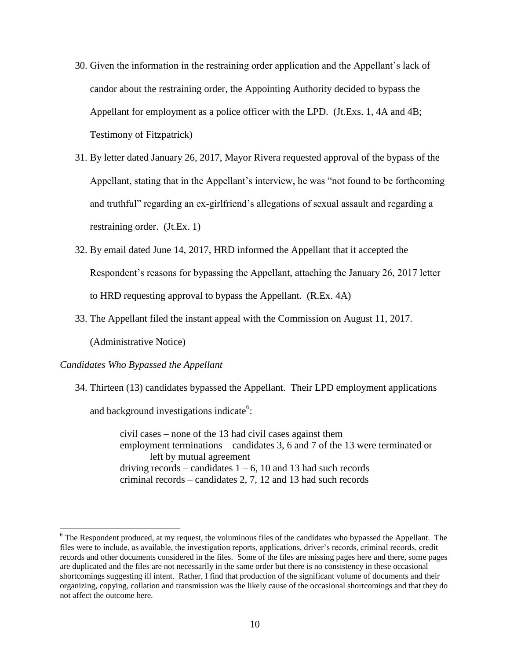- 30. Given the information in the restraining order application and the Appellant's lack of candor about the restraining order, the Appointing Authority decided to bypass the Appellant for employment as a police officer with the LPD. (Jt.Exs. 1, 4A and 4B; Testimony of Fitzpatrick)
- 31. By letter dated January 26, 2017, Mayor Rivera requested approval of the bypass of the Appellant, stating that in the Appellant's interview, he was "not found to be forthcoming and truthful" regarding an ex-girlfriend's allegations of sexual assault and regarding a restraining order. (Jt.Ex. 1)
- 32. By email dated June 14, 2017, HRD informed the Appellant that it accepted the Respondent's reasons for bypassing the Appellant, attaching the January 26, 2017 letter to HRD requesting approval to bypass the Appellant. (R.Ex. 4A)
- 33. The Appellant filed the instant appeal with the Commission on August 11, 2017.

(Administrative Notice)

### *Candidates Who Bypassed the Appellant*

 $\overline{a}$ 

34. Thirteen (13) candidates bypassed the Appellant. Their LPD employment applications

and background investigations indicate<sup>6</sup>:

civil cases – none of the 13 had civil cases against them employment terminations – candidates 3, 6 and 7 of the 13 were terminated or left by mutual agreement driving records – candidates  $1 - 6$ , 10 and 13 had such records criminal records – candidates 2, 7, 12 and 13 had such records

<sup>&</sup>lt;sup>6</sup> The Respondent produced, at my request, the voluminous files of the candidates who bypassed the Appellant. The files were to include, as available, the investigation reports, applications, driver's records, criminal records, credit records and other documents considered in the files. Some of the files are missing pages here and there, some pages are duplicated and the files are not necessarily in the same order but there is no consistency in these occasional shortcomings suggesting ill intent. Rather, I find that production of the significant volume of documents and their organizing, copying, collation and transmission was the likely cause of the occasional shortcomings and that they do not affect the outcome here.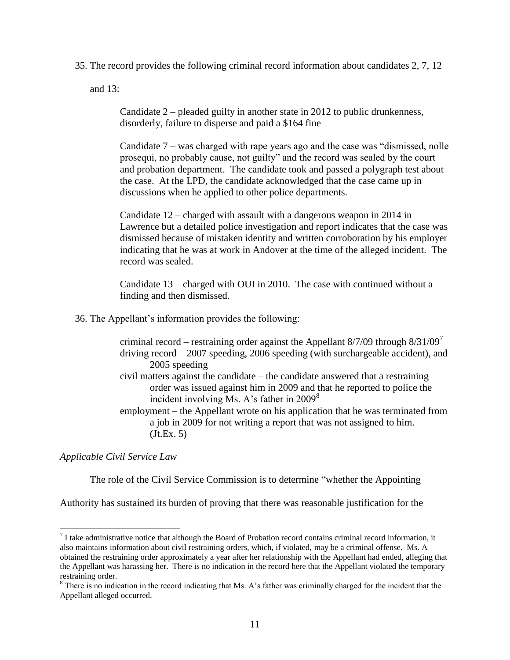35. The record provides the following criminal record information about candidates 2, 7, 12

and 13:

Candidate 2 – pleaded guilty in another state in 2012 to public drunkenness, disorderly, failure to disperse and paid a \$164 fine

Candidate 7 – was charged with rape years ago and the case was "dismissed, nolle prosequi, no probably cause, not guilty" and the record was sealed by the court and probation department. The candidate took and passed a polygraph test about the case. At the LPD, the candidate acknowledged that the case came up in discussions when he applied to other police departments.

Candidate 12 – charged with assault with a dangerous weapon in 2014 in Lawrence but a detailed police investigation and report indicates that the case was dismissed because of mistaken identity and written corroboration by his employer indicating that he was at work in Andover at the time of the alleged incident. The record was sealed.

Candidate 13 – charged with OUI in 2010. The case with continued without a finding and then dismissed.

36. The Appellant's information provides the following:

criminal record – restraining order against the Appellant  $8/7/09$  through  $8/31/09<sup>7</sup>$ driving record – 2007 speeding, 2006 speeding (with surchargeable accident), and 2005 speeding civil matters against the candidate – the candidate answered that a restraining order was issued against him in 2009 and that he reported to police the incident involving Ms. A's father in  $2009^8$ employment – the Appellant wrote on his application that he was terminated from a job in 2009 for not writing a report that was not assigned to him.  $(Jt.Ex. 5)$ 

*Applicable Civil Service Law*

 $\overline{a}$ 

The role of the Civil Service Commission is to determine "whether the Appointing

Authority has sustained its burden of proving that there was reasonable justification for the

 $<sup>7</sup>$  I take administrative notice that although the Board of Probation record contains criminal record information, it</sup> also maintains information about civil restraining orders, which, if violated, may be a criminal offense. Ms. A obtained the restraining order approximately a year after her relationship with the Appellant had ended, alleging that the Appellant was harassing her. There is no indication in the record here that the Appellant violated the temporary restraining order.

<sup>&</sup>lt;sup>8</sup> There is no indication in the record indicating that Ms. A's father was criminally charged for the incident that the Appellant alleged occurred.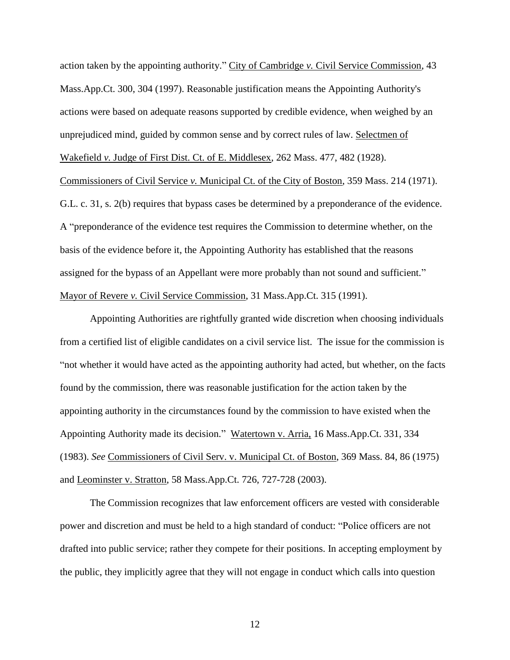action taken by the appointing authority." City of Cambridge *v.* Civil Service Commission, 43 Mass.App.Ct. 300, 304 (1997). Reasonable justification means the Appointing Authority's actions were based on adequate reasons supported by credible evidence, when weighed by an unprejudiced mind, guided by common sense and by correct rules of law. Selectmen of Wakefield *v.* Judge of First Dist. Ct. of E. Middlesex, 262 Mass. 477, 482 (1928). Commissioners of Civil Service *v.* Municipal Ct. of the City of Boston, 359 Mass. 214 (1971). G.L. c. 31, s. 2(b) requires that bypass cases be determined by a preponderance of the evidence. A "preponderance of the evidence test requires the Commission to determine whether, on the basis of the evidence before it, the Appointing Authority has established that the reasons assigned for the bypass of an Appellant were more probably than not sound and sufficient." Mayor of Revere *v.* Civil Service Commission, 31 Mass.App.Ct. 315 (1991).

 Appointing Authorities are rightfully granted wide discretion when choosing individuals from a certified list of eligible candidates on a civil service list. The issue for the commission is "not whether it would have acted as the appointing authority had acted, but whether, on the facts found by the commission, there was reasonable justification for the action taken by the appointing authority in the circumstances found by the commission to have existed when the Appointing Authority made its decision." Watertown v. Arria, 16 Mass.App.Ct. 331, 334 (1983). *See* Commissioners of Civil Serv. v. Municipal Ct. of Boston, 369 Mass. 84, 86 (1975) and Leominster v. Stratton, 58 Mass.App.Ct. 726, 727-728 (2003).

The Commission recognizes that law enforcement officers are vested with considerable power and discretion and must be held to a high standard of conduct: "Police officers are not drafted into public service; rather they compete for their positions. In accepting employment by the public, they implicitly agree that they will not engage in conduct which calls into question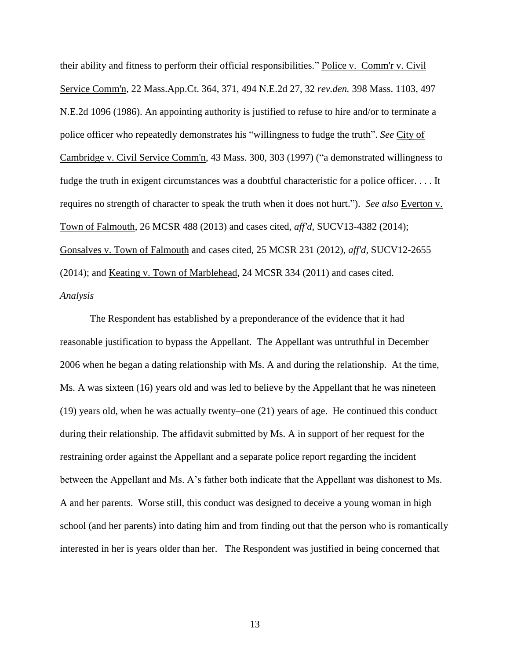their ability and fitness to perform their official responsibilities." Police v. Comm'r v. Civil Service Comm'n, 22 Mass.App.Ct. 364, 371, 494 N.E.2d 27, 32 *rev.den.* 398 Mass. 1103, 497 N.E.2d 1096 (1986). An appointing authority is justified to refuse to hire and/or to terminate a police officer who repeatedly demonstrates his "willingness to fudge the truth". *See* City of Cambridge v. Civil Service Comm'n, 43 Mass. 300, 303 (1997) ("a demonstrated willingness to fudge the truth in exigent circumstances was a doubtful characteristic for a police officer. . . . It requires no strength of character to speak the truth when it does not hurt."). *See also* Everton v. Town of Falmouth, 26 MCSR 488 (2013) and cases cited, *aff'd*, SUCV13-4382 (2014); Gonsalves v. Town of Falmouth and cases cited, 25 MCSR 231 (2012), *aff'd,* SUCV12-2655 (2014); and Keating v. Town of Marblehead, 24 MCSR 334 (2011) and cases cited. *Analysis*

The Respondent has established by a preponderance of the evidence that it had reasonable justification to bypass the Appellant. The Appellant was untruthful in December 2006 when he began a dating relationship with Ms. A and during the relationship. At the time, Ms. A was sixteen (16) years old and was led to believe by the Appellant that he was nineteen (19) years old, when he was actually twenty–one (21) years of age. He continued this conduct during their relationship. The affidavit submitted by Ms. A in support of her request for the restraining order against the Appellant and a separate police report regarding the incident between the Appellant and Ms. A's father both indicate that the Appellant was dishonest to Ms. A and her parents. Worse still, this conduct was designed to deceive a young woman in high school (and her parents) into dating him and from finding out that the person who is romantically interested in her is years older than her. The Respondent was justified in being concerned that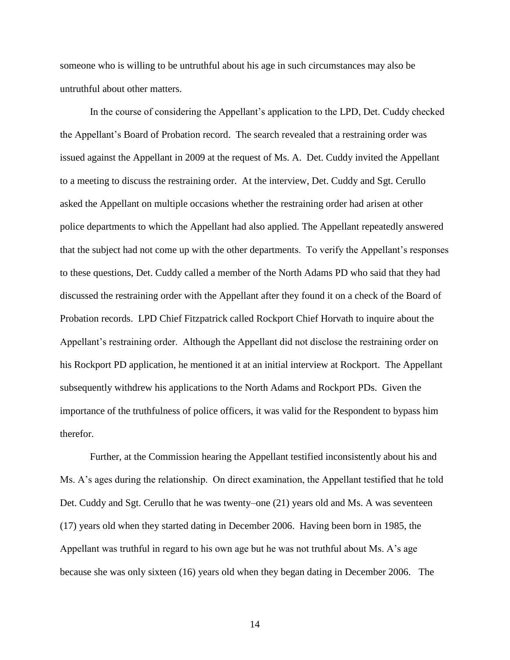someone who is willing to be untruthful about his age in such circumstances may also be untruthful about other matters.

In the course of considering the Appellant's application to the LPD, Det. Cuddy checked the Appellant's Board of Probation record. The search revealed that a restraining order was issued against the Appellant in 2009 at the request of Ms. A. Det. Cuddy invited the Appellant to a meeting to discuss the restraining order. At the interview, Det. Cuddy and Sgt. Cerullo asked the Appellant on multiple occasions whether the restraining order had arisen at other police departments to which the Appellant had also applied. The Appellant repeatedly answered that the subject had not come up with the other departments. To verify the Appellant's responses to these questions, Det. Cuddy called a member of the North Adams PD who said that they had discussed the restraining order with the Appellant after they found it on a check of the Board of Probation records. LPD Chief Fitzpatrick called Rockport Chief Horvath to inquire about the Appellant's restraining order. Although the Appellant did not disclose the restraining order on his Rockport PD application, he mentioned it at an initial interview at Rockport. The Appellant subsequently withdrew his applications to the North Adams and Rockport PDs. Given the importance of the truthfulness of police officers, it was valid for the Respondent to bypass him therefor.

Further, at the Commission hearing the Appellant testified inconsistently about his and Ms. A's ages during the relationship. On direct examination, the Appellant testified that he told Det. Cuddy and Sgt. Cerullo that he was twenty–one (21) years old and Ms. A was seventeen (17) years old when they started dating in December 2006. Having been born in 1985, the Appellant was truthful in regard to his own age but he was not truthful about Ms. A's age because she was only sixteen (16) years old when they began dating in December 2006. The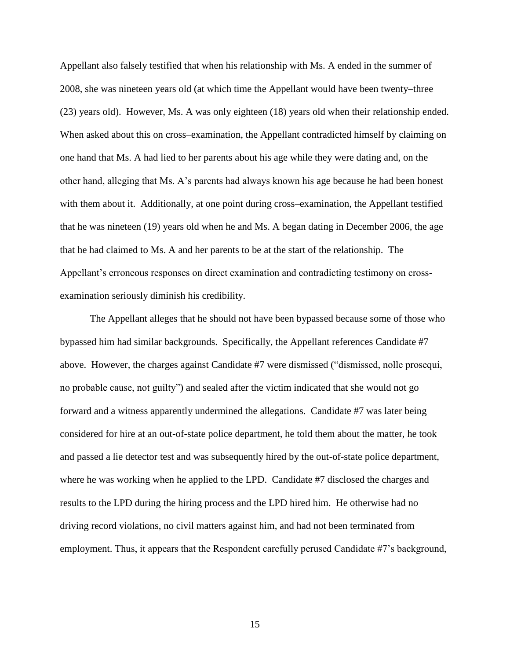Appellant also falsely testified that when his relationship with Ms. A ended in the summer of 2008, she was nineteen years old (at which time the Appellant would have been twenty–three (23) years old). However, Ms. A was only eighteen (18) years old when their relationship ended. When asked about this on cross–examination, the Appellant contradicted himself by claiming on one hand that Ms. A had lied to her parents about his age while they were dating and, on the other hand, alleging that Ms. A's parents had always known his age because he had been honest with them about it. Additionally, at one point during cross–examination, the Appellant testified that he was nineteen (19) years old when he and Ms. A began dating in December 2006, the age that he had claimed to Ms. A and her parents to be at the start of the relationship. The Appellant's erroneous responses on direct examination and contradicting testimony on crossexamination seriously diminish his credibility.

The Appellant alleges that he should not have been bypassed because some of those who bypassed him had similar backgrounds. Specifically, the Appellant references Candidate #7 above. However, the charges against Candidate #7 were dismissed ("dismissed, nolle prosequi, no probable cause, not guilty") and sealed after the victim indicated that she would not go forward and a witness apparently undermined the allegations. Candidate #7 was later being considered for hire at an out-of-state police department, he told them about the matter, he took and passed a lie detector test and was subsequently hired by the out-of-state police department, where he was working when he applied to the LPD. Candidate #7 disclosed the charges and results to the LPD during the hiring process and the LPD hired him. He otherwise had no driving record violations, no civil matters against him, and had not been terminated from employment. Thus, it appears that the Respondent carefully perused Candidate #7's background,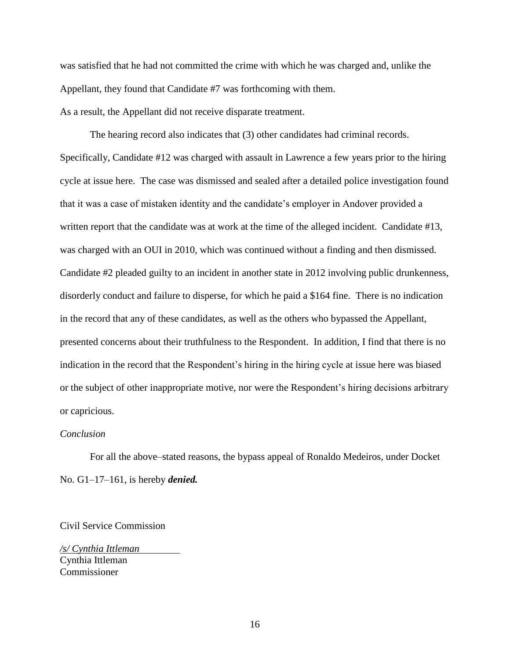was satisfied that he had not committed the crime with which he was charged and, unlike the Appellant, they found that Candidate #7 was forthcoming with them. As a result, the Appellant did not receive disparate treatment.

The hearing record also indicates that (3) other candidates had criminal records. Specifically, Candidate #12 was charged with assault in Lawrence a few years prior to the hiring cycle at issue here. The case was dismissed and sealed after a detailed police investigation found that it was a case of mistaken identity and the candidate's employer in Andover provided a written report that the candidate was at work at the time of the alleged incident. Candidate #13, was charged with an OUI in 2010, which was continued without a finding and then dismissed. Candidate #2 pleaded guilty to an incident in another state in 2012 involving public drunkenness, disorderly conduct and failure to disperse, for which he paid a \$164 fine. There is no indication in the record that any of these candidates, as well as the others who bypassed the Appellant, presented concerns about their truthfulness to the Respondent. In addition, I find that there is no indication in the record that the Respondent's hiring in the hiring cycle at issue here was biased or the subject of other inappropriate motive, nor were the Respondent's hiring decisions arbitrary or capricious.

#### *Conclusion*

For all the above–stated reasons, the bypass appeal of Ronaldo Medeiros, under Docket No. G1–17–161, is hereby *denied.*

Civil Service Commission

*/s/ Cynthia Ittleman* Cynthia Ittleman Commissioner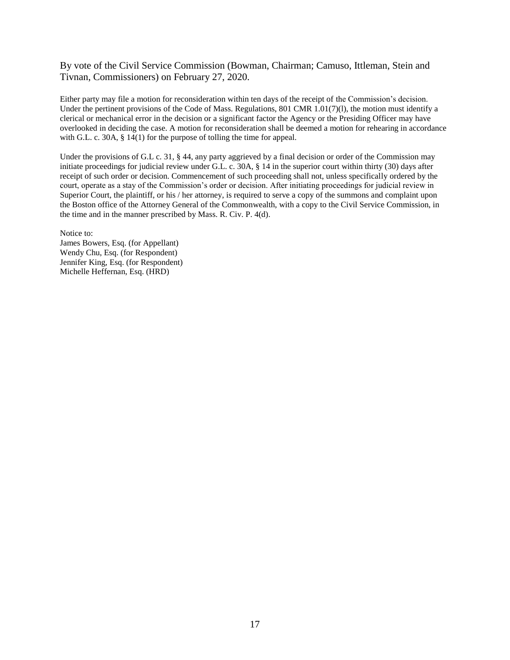By vote of the Civil Service Commission (Bowman, Chairman; Camuso, Ittleman, Stein and Tivnan, Commissioners) on February 27, 2020.

Either party may file a motion for reconsideration within ten days of the receipt of the Commission's decision. Under the pertinent provisions of the Code of Mass. Regulations, 801 CMR 1.01(7)(1), the motion must identify a clerical or mechanical error in the decision or a significant factor the Agency or the Presiding Officer may have overlooked in deciding the case. A motion for reconsideration shall be deemed a motion for rehearing in accordance with G.L. c. 30A, § 14(1) for the purpose of tolling the time for appeal.

Under the provisions of G.L c. 31, § 44, any party aggrieved by a final decision or order of the Commission may initiate proceedings for judicial review under G.L. c. 30A, § 14 in the superior court within thirty (30) days after receipt of such order or decision. Commencement of such proceeding shall not, unless specifically ordered by the court, operate as a stay of the Commission's order or decision. After initiating proceedings for judicial review in Superior Court, the plaintiff, or his / her attorney, is required to serve a copy of the summons and complaint upon the Boston office of the Attorney General of the Commonwealth, with a copy to the Civil Service Commission, in the time and in the manner prescribed by Mass. R. Civ. P. 4(d).

Notice to:

James Bowers, Esq. (for Appellant) Wendy Chu, Esq. (for Respondent) Jennifer King, Esq. (for Respondent) Michelle Heffernan, Esq. (HRD)